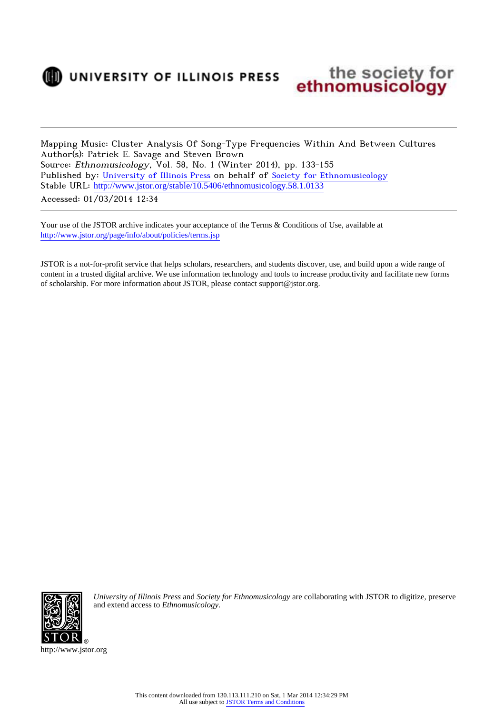

) UNIVERSITY OF ILLINOIS PRESS



Mapping Music: Cluster Analysis Of Song-Type Frequencies Within And Between Cultures Author(s): Patrick E. Savage and Steven Brown Source: Ethnomusicology, Vol. 58, No. 1 (Winter 2014), pp. 133-155 Published by: [University of Illinois Press](http://www.jstor.org/action/showPublisher?publisherCode=illinois) on behalf of [Society for Ethnomusicology](http://www.jstor.org/action/showPublisher?publisherCode=sem) Stable URL: [http://www.jstor.org/stable/10.5406/ethnomusicology.58.1.0133](http://www.jstor.org/stable/10.5406/ethnomusicology.58.1.0133?origin=JSTOR-pdf) Accessed: 01/03/2014 12:34

Your use of the JSTOR archive indicates your acceptance of the Terms & Conditions of Use, available at <http://www.jstor.org/page/info/about/policies/terms.jsp>

JSTOR is a not-for-profit service that helps scholars, researchers, and students discover, use, and build upon a wide range of content in a trusted digital archive. We use information technology and tools to increase productivity and facilitate new forms of scholarship. For more information about JSTOR, please contact support@jstor.org.



*University of Illinois Press* and *Society for Ethnomusicology* are collaborating with JSTOR to digitize, preserve and extend access to *Ethnomusicology.*

http://www.jstor.org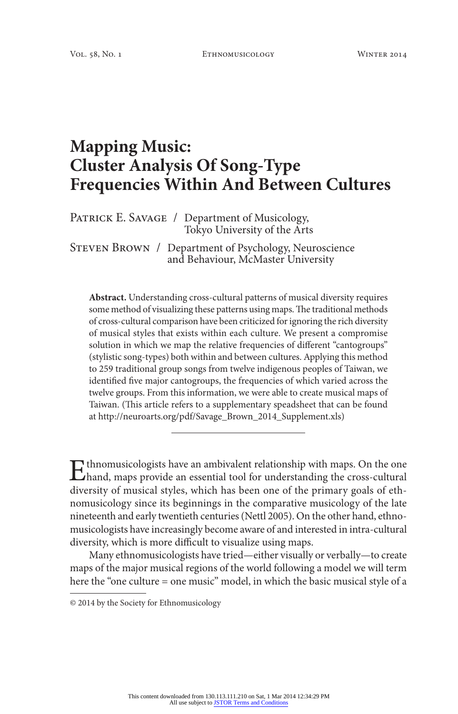# **Mapping Music: Cluster Analysis Of Song-Type Frequencies Within And Between Cultures**

PATRICK E. SAVAGE / Department of Musicology, Tokyo University of the Arts

Steven Brown / Department of Psychology, Neuroscience and Behaviour, McMaster University

**Abstract.** Understanding cross-cultural patterns of musical diversity requires some method of visualizing these patterns using maps. The traditional methods of cross-cultural comparison have been criticized for ignoring the rich diversity of musical styles that exists within each culture. We present a compromise solution in which we map the relative frequencies of different "cantogroups" (stylistic song-types) both within and between cultures. Applying this method to 259 traditional group songs from twelve indigenous peoples of Taiwan, we identified five major cantogroups, the frequencies of which varied across the twelve groups. From this information, we were able to create musical maps of Taiwan. (This article refers to a supplementary speadsheet that can be found at http://neuroarts.org/pdf/Savage\_Brown\_2014\_Supplement.xls)

Ethnomusicologists have an ambivalent relationship with maps. On the one hand, maps provide an essential tool for understanding the cross-cultural divergence of musical styles, which has been one of the mimenus goals of st diversity of musical styles, which has been one of the primary goals of ethnomusicology since its beginnings in the comparative musicology of the late nineteenth and early twentieth centuries (Nettl 2005). On the other hand, ethnomusicologists have increasingly become aware of and interested in intra-cultural diversity, which is more difficult to visualize using maps.

Many ethnomusicologists have tried—either visually or verbally—to create maps of the major musical regions of the world following a model we will term here the "one culture = one music" model, in which the basic musical style of a

<sup>© 2014</sup> by the Society for Ethnomusicology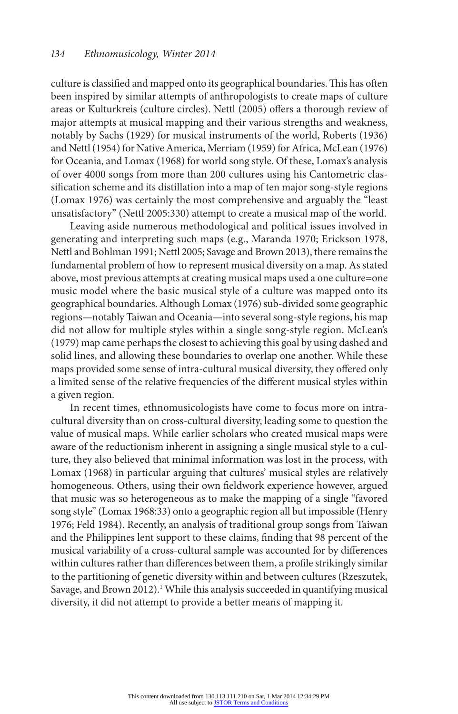culture is classified and mapped onto its geographical boundaries. This has often been inspired by similar attempts of anthropologists to create maps of culture areas or Kulturkreis (culture circles). Nettl (2005) offers a thorough review of major attempts at musical mapping and their various strengths and weakness, notably by Sachs (1929) for musical instruments of the world, Roberts (1936) and Nettl (1954) for Native America, Merriam (1959) for Africa, McLean (1976) for Oceania, and Lomax (1968) for world song style. Of these, Lomax's analysis of over 4000 songs from more than 200 cultures using his Cantometric classification scheme and its distillation into a map of ten major song-style regions (Lomax 1976) was certainly the most comprehensive and arguably the "least unsatisfactory" (Nettl 2005:330) attempt to create a musical map of the world.

Leaving aside numerous methodological and political issues involved in generating and interpreting such maps (e.g., Maranda 1970; Erickson 1978, Nettl and Bohlman 1991; Nettl 2005; Savage and Brown 2013), there remains the fundamental problem of how to represent musical diversity on a map. As stated above, most previous attempts at creating musical maps used a one culture=one music model where the basic musical style of a culture was mapped onto its geographical boundaries. Although Lomax (1976) sub-divided some geographic regions—notably Taiwan and Oceania—into several song-style regions, his map did not allow for multiple styles within a single song-style region. McLean's (1979) map came perhaps the closest to achieving this goal by using dashed and solid lines, and allowing these boundaries to overlap one another. While these maps provided some sense of intra-cultural musical diversity, they offered only a limited sense of the relative frequencies of the different musical styles within a given region.

In recent times, ethnomusicologists have come to focus more on intracultural diversity than on cross-cultural diversity, leading some to question the value of musical maps. While earlier scholars who created musical maps were aware of the reductionism inherent in assigning a single musical style to a culture, they also believed that minimal information was lost in the process, with Lomax (1968) in particular arguing that cultures' musical styles are relatively homogeneous. Others, using their own fieldwork experience however, argued that music was so heterogeneous as to make the mapping of a single "favored song style" (Lomax 1968:33) onto a geographic region all but impossible (Henry 1976; Feld 1984). Recently, an analysis of traditional group songs from Taiwan and the Philippines lent support to these claims, finding that 98 percent of the musical variability of a cross-cultural sample was accounted for by differences within cultures rather than differences between them, a profile strikingly similar to the partitioning of genetic diversity within and between cultures (Rzeszutek, Savage, and Brown 2012).<sup>1</sup> While this analysis succeeded in quantifying musical diversity, it did not attempt to provide a better means of mapping it.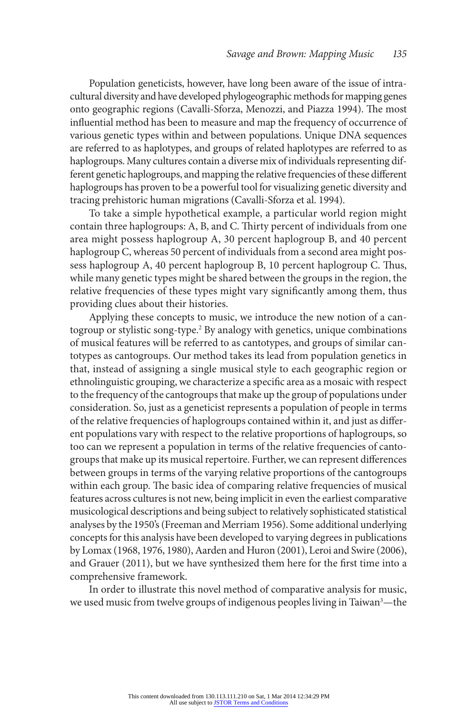Population geneticists, however, have long been aware of the issue of intracultural diversity and have developed phylogeographic methods for mapping genes onto geographic regions (Cavalli-Sforza, Menozzi, and Piazza 1994). The most influential method has been to measure and map the frequency of occurrence of various genetic types within and between populations. Unique DNA sequences are referred to as haplotypes, and groups of related haplotypes are referred to as haplogroups. Many cultures contain a diverse mix of individuals representing different genetic haplogroups, and mapping the relative frequencies of these different haplogroups has proven to be a powerful tool for visualizing genetic diversity and tracing prehistoric human migrations (Cavalli-Sforza et al. 1994).

To take a simple hypothetical example, a particular world region might contain three haplogroups: A, B, and C. Thirty percent of individuals from one area might possess haplogroup A, 30 percent haplogroup B, and 40 percent haplogroup C, whereas 50 percent of individuals from a second area might possess haplogroup A, 40 percent haplogroup B, 10 percent haplogroup C. Thus, while many genetic types might be shared between the groups in the region, the relative frequencies of these types might vary significantly among them, thus providing clues about their histories.

Applying these concepts to music, we introduce the new notion of a cantogroup or stylistic song-type.2 By analogy with genetics, unique combinations of musical features will be referred to as cantotypes, and groups of similar cantotypes as cantogroups. Our method takes its lead from population genetics in that, instead of assigning a single musical style to each geographic region or ethnolinguistic grouping, we characterize a specific area as a mosaic with respect to the frequency of the cantogroups that make up the group of populations under consideration. So, just as a geneticist represents a population of people in terms of the relative frequencies of haplogroups contained within it, and just as different populations vary with respect to the relative proportions of haplogroups, so too can we represent a population in terms of the relative frequencies of cantogroups that make up its musical repertoire. Further, we can represent differences between groups in terms of the varying relative proportions of the cantogroups within each group. The basic idea of comparing relative frequencies of musical features across cultures is not new, being implicit in even the earliest comparative musicological descriptions and being subject to relatively sophisticated statistical analyses by the 1950's (Freeman and Merriam 1956). Some additional underlying concepts for this analysis have been developed to varying degrees in publications by Lomax (1968, 1976, 1980), Aarden and Huron (2001), Leroi and Swire (2006), and Grauer (2011), but we have synthesized them here for the first time into a comprehensive framework.

In order to illustrate this novel method of comparative analysis for music, we used music from twelve groups of indigenous peoples living in Taiwan<sup>3</sup>—the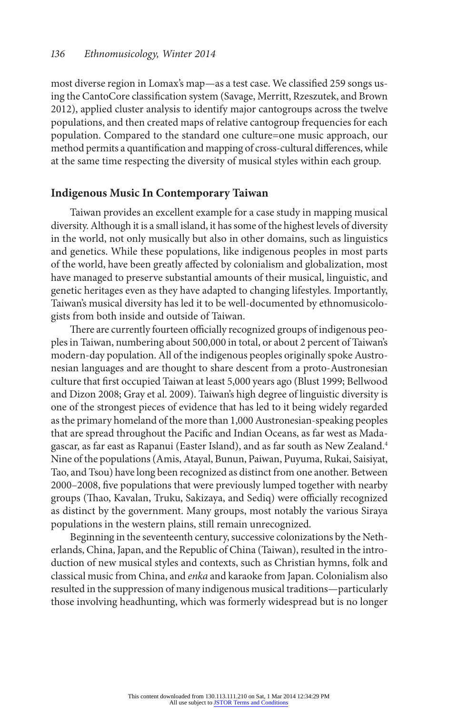most diverse region in Lomax's map—as a test case. We classified 259 songs using the CantoCore classification system (Savage, Merritt, Rzeszutek, and Brown 2012), applied cluster analysis to identify major cantogroups across the twelve populations, and then created maps of relative cantogroup frequencies for each population. Compared to the standard one culture=one music approach, our method permits a quantification and mapping of cross-cultural differences, while at the same time respecting the diversity of musical styles within each group.

#### **Indigenous Music In Contemporary Taiwan**

Taiwan provides an excellent example for a case study in mapping musical diversity. Although it is a small island, it has some of the highest levels of diversity in the world, not only musically but also in other domains, such as linguistics and genetics. While these populations, like indigenous peoples in most parts of the world, have been greatly affected by colonialism and globalization, most have managed to preserve substantial amounts of their musical, linguistic, and genetic heritages even as they have adapted to changing lifestyles. Importantly, Taiwan's musical diversity has led it to be well-documented by ethnomusicologists from both inside and outside of Taiwan.

There are currently fourteen officially recognized groups of indigenous peoples in Taiwan, numbering about 500,000 in total, or about 2 percent of Taiwan's modern-day population. All of the indigenous peoples originally spoke Austronesian languages and are thought to share descent from a proto-Austronesian culture that first occupied Taiwan at least 5,000 years ago (Blust 1999; Bellwood and Dizon 2008; Gray et al. 2009). Taiwan's high degree of linguistic diversity is one of the strongest pieces of evidence that has led to it being widely regarded as the primary homeland of the more than 1,000 Austronesian-speaking peoples that are spread throughout the Pacific and Indian Oceans, as far west as Madagascar, as far east as Rapanui (Easter Island), and as far south as New Zealand.4 Nine of the populations (Amis, Atayal, Bunun, Paiwan, Puyuma, Rukai, Saisiyat, Tao, and Tsou) have long been recognized as distinct from one another. Between 2000–2008, five populations that were previously lumped together with nearby groups (Thao, Kavalan, Truku, Sakizaya, and Sediq) were officially recognized as distinct by the government. Many groups, most notably the various Siraya populations in the western plains, still remain unrecognized.

Beginning in the seventeenth century, successive colonizations by the Netherlands, China, Japan, and the Republic of China (Taiwan), resulted in the introduction of new musical styles and contexts, such as Christian hymns, folk and classical music from China, and *enka* and karaoke from Japan. Colonialism also resulted in the suppression of many indigenous musical traditions—particularly those involving headhunting, which was formerly widespread but is no longer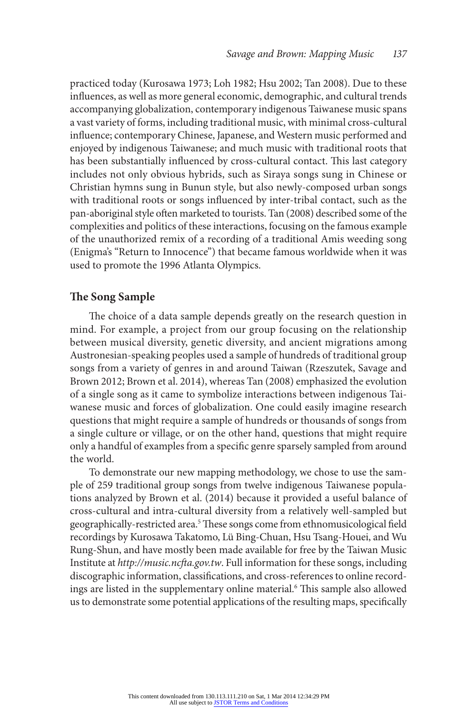practiced today (Kurosawa 1973; Loh 1982; Hsu 2002; Tan 2008). Due to these influences, as well as more general economic, demographic, and cultural trends accompanying globalization, contemporary indigenous Taiwanese music spans a vast variety of forms, including traditional music, with minimal cross-cultural influence; contemporary Chinese, Japanese, and Western music performed and enjoyed by indigenous Taiwanese; and much music with traditional roots that has been substantially influenced by cross-cultural contact. This last category includes not only obvious hybrids, such as Siraya songs sung in Chinese or Christian hymns sung in Bunun style, but also newly-composed urban songs with traditional roots or songs influenced by inter-tribal contact, such as the pan-aboriginal style often marketed to tourists. Tan (2008) described some of the complexities and politics of these interactions, focusing on the famous example of the unauthorized remix of a recording of a traditional Amis weeding song (Enigma's "Return to Innocence") that became famous worldwide when it was used to promote the 1996 Atlanta Olympics.

## **The Song Sample**

The choice of a data sample depends greatly on the research question in mind. For example, a project from our group focusing on the relationship between musical diversity, genetic diversity, and ancient migrations among Austronesian-speaking peoples used a sample of hundreds of traditional group songs from a variety of genres in and around Taiwan (Rzeszutek, Savage and Brown 2012; Brown et al. 2014), whereas Tan (2008) emphasized the evolution of a single song as it came to symbolize interactions between indigenous Taiwanese music and forces of globalization. One could easily imagine research questions that might require a sample of hundreds or thousands of songs from a single culture or village, or on the other hand, questions that might require only a handful of examples from a specific genre sparsely sampled from around the world.

To demonstrate our new mapping methodology, we chose to use the sample of 259 traditional group songs from twelve indigenous Taiwanese populations analyzed by Brown et al. (2014) because it provided a useful balance of cross-cultural and intra-cultural diversity from a relatively well-sampled but geographically-restricted area.<sup>5</sup> These songs come from ethnomusicological field recordings by Kurosawa Takatomo, Lü Bing-Chuan, Hsu Tsang-Houei, and Wu Rung-Shun, and have mostly been made available for free by the Taiwan Music Institute at *http://music.ncfta.gov.tw*. Full information for these songs, including discographic information, classifications, and cross-references to online recordings are listed in the supplementary online material.6 This sample also allowed us to demonstrate some potential applications of the resulting maps, specifically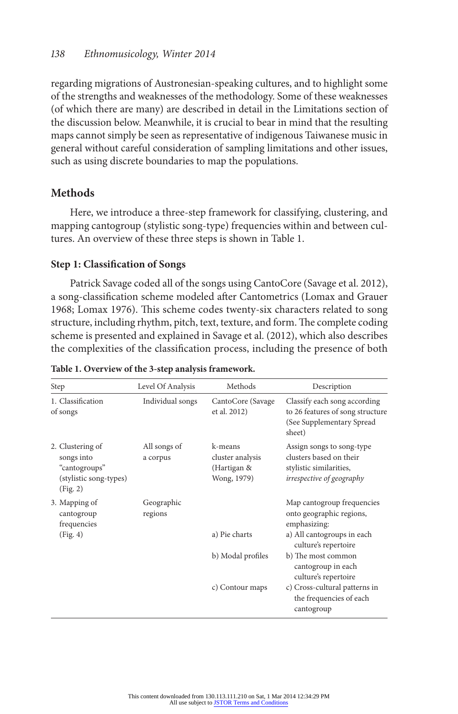regarding migrations of Austronesian-speaking cultures, and to highlight some of the strengths and weaknesses of the methodology. Some of these weaknesses (of which there are many) are described in detail in the Limitations section of the discussion below. Meanwhile, it is crucial to bear in mind that the resulting maps cannot simply be seen as representative of indigenous Taiwanese music in general without careful consideration of sampling limitations and other issues, such as using discrete boundaries to map the populations.

# **Methods**

Here, we introduce a three-step framework for classifying, clustering, and mapping cantogroup (stylistic song-type) frequencies within and between cultures. An overview of these three steps is shown in Table 1.

# **Step 1: Classification of Songs**

Patrick Savage coded all of the songs using CantoCore (Savage et al. 2012), a song-classification scheme modeled after Cantometrics (Lomax and Grauer 1968; Lomax 1976). This scheme codes twenty-six characters related to song structure, including rhythm, pitch, text, texture, and form. The complete coding scheme is presented and explained in Savage et al. (2012), which also describes the complexities of the classification process, including the presence of both

| Step                                                                                  | Level Of Analysis        | Methods                                                   | Description                                                                                                  |
|---------------------------------------------------------------------------------------|--------------------------|-----------------------------------------------------------|--------------------------------------------------------------------------------------------------------------|
| 1. Classification<br>of songs                                                         | Individual songs         | CantoCore (Savage)<br>et al. 2012)                        | Classify each song according<br>to 26 features of song structure<br>(See Supplementary Spread<br>sheet)      |
| 2. Clustering of<br>songs into<br>"cantogroups"<br>(stylistic song-types)<br>(Fig. 2) | All songs of<br>a corpus | k-means<br>cluster analysis<br>(Hartigan &<br>Wong, 1979) | Assign songs to song-type<br>clusters based on their<br>stylistic similarities,<br>irrespective of geography |
| 3. Mapping of<br>cantogroup<br>frequencies                                            | Geographic<br>regions    |                                                           | Map cantogroup frequencies<br>onto geographic regions,<br>emphasizing:                                       |
| (Fig. 4)                                                                              |                          | a) Pie charts                                             | a) All cantogroups in each<br>culture's repertoire                                                           |
|                                                                                       |                          | b) Modal profiles                                         | b) The most common<br>cantogroup in each<br>culture's repertoire                                             |
|                                                                                       |                          | c) Contour maps                                           | c) Cross-cultural patterns in<br>the frequencies of each<br>cantogroup                                       |

| Table 1. Overview of the 3-step analysis framework. |  |
|-----------------------------------------------------|--|
|-----------------------------------------------------|--|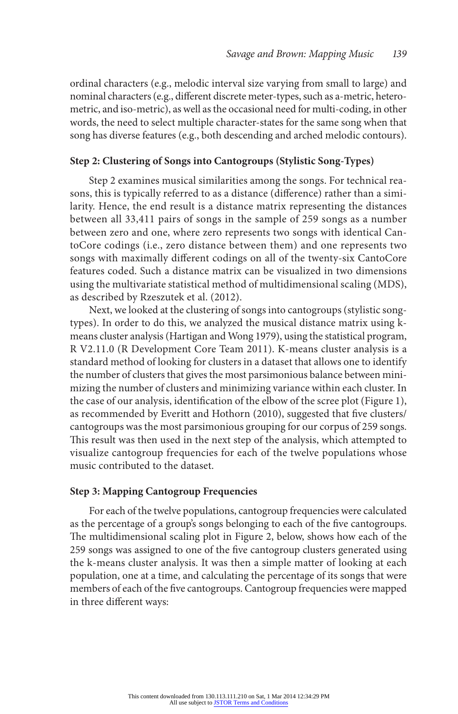ordinal characters (e.g., melodic interval size varying from small to large) and nominal characters (e.g., different discrete meter-types, such as a-metric, heterometric, and iso-metric), as well as the occasional need for multi-coding, in other words, the need to select multiple character-states for the same song when that song has diverse features (e.g., both descending and arched melodic contours).

## **Step 2: Clustering of Songs into Cantogroups (Stylistic Song-Types)**

Step 2 examines musical similarities among the songs. For technical reasons, this is typically referred to as a distance (difference) rather than a similarity. Hence, the end result is a distance matrix representing the distances between all 33,411 pairs of songs in the sample of 259 songs as a number between zero and one, where zero represents two songs with identical CantoCore codings (i.e., zero distance between them) and one represents two songs with maximally different codings on all of the twenty-six CantoCore features coded. Such a distance matrix can be visualized in two dimensions using the multivariate statistical method of multidimensional scaling (MDS), as described by Rzeszutek et al. (2012).

Next, we looked at the clustering of songs into cantogroups (stylistic songtypes). In order to do this, we analyzed the musical distance matrix using kmeans cluster analysis (Hartigan and Wong 1979), using the statistical program, R V2.11.0 (R Development Core Team 2011). K-means cluster analysis is a standard method of looking for clusters in a dataset that allows one to identify the number of clusters that gives the most parsimonious balance between minimizing the number of clusters and minimizing variance within each cluster. In the case of our analysis, identification of the elbow of the scree plot (Figure 1), as recommended by Everitt and Hothorn (2010), suggested that five clusters/ cantogroups was the most parsimonious grouping for our corpus of 259 songs. This result was then used in the next step of the analysis, which attempted to visualize cantogroup frequencies for each of the twelve populations whose music contributed to the dataset.

# **Step 3: Mapping Cantogroup Frequencies**

For each of the twelve populations, cantogroup frequencies were calculated as the percentage of a group's songs belonging to each of the five cantogroups. The multidimensional scaling plot in Figure 2, below, shows how each of the 259 songs was assigned to one of the five cantogroup clusters generated using the k-means cluster analysis. It was then a simple matter of looking at each population, one at a time, and calculating the percentage of its songs that were members of each of the five cantogroups. Cantogroup frequencies were mapped in three different ways: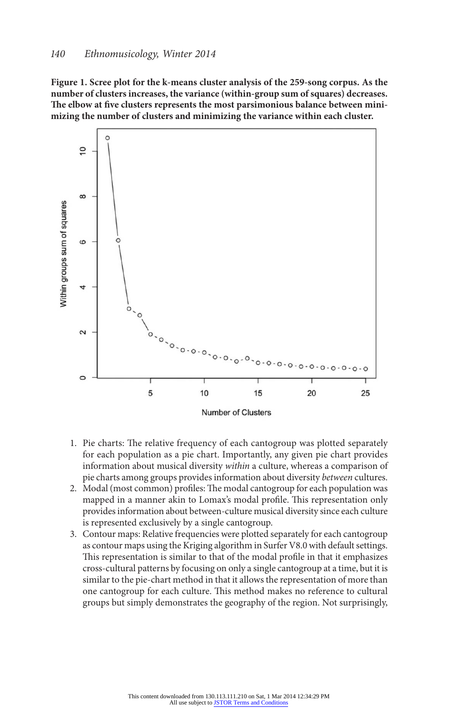**Figure 1. Scree plot for the k-means cluster analysis of the 259-song corpus. As the number of clusters increases, the variance (within-group sum of squares) decreases. The elbow at five clusters represents the most parsimonious balance between minimizing the number of clusters and minimizing the variance within each cluster.**



- 1. Pie charts: The relative frequency of each cantogroup was plotted separately for each population as a pie chart. Importantly, any given pie chart provides information about musical diversity *within* a culture, whereas a comparison of pie charts among groups provides information about diversity *between* cultures.
- 2. Modal (most common) profiles: The modal cantogroup for each population was mapped in a manner akin to Lomax's modal profile. This representation only provides information about between-culture musical diversity since each culture is represented exclusively by a single cantogroup.
- 3. Contour maps: Relative frequencies were plotted separately for each cantogroup as contour maps using the Kriging algorithm in Surfer V8.0 with default settings. This representation is similar to that of the modal profile in that it emphasizes cross-cultural patterns by focusing on only a single cantogroup at a time, but it is similar to the pie-chart method in that it allows the representation of more than one cantogroup for each culture. This method makes no reference to cultural groups but simply demonstrates the geography of the region. Not surprisingly,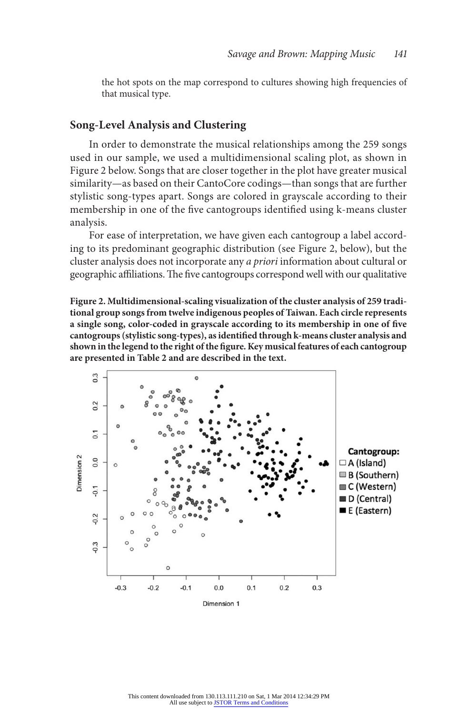the hot spots on the map correspond to cultures showing high frequencies of that musical type.

#### **Song-Level Analysis and Clustering**

In order to demonstrate the musical relationships among the 259 songs used in our sample, we used a multidimensional scaling plot, as shown in Figure 2 below. Songs that are closer together in the plot have greater musical similarity—as based on their CantoCore codings—than songs that are further stylistic song-types apart. Songs are colored in grayscale according to their membership in one of the five cantogroups identified using k-means cluster analysis.

For ease of interpretation, we have given each cantogroup a label according to its predominant geographic distribution (see Figure 2, below), but the cluster analysis does not incorporate any *a priori* information about cultural or geographic affiliations. The five cantogroups correspond well with our qualitative

**Figure 2. Multidimensional-scaling visualization of the cluster analysis of 259 traditional group songs from twelve indigenous peoples of Taiwan. Each circle represents a single song, color-coded in grayscale according to its membership in one of five cantogroups (stylistic song-types), as identified through k-means cluster analysis and shown in the legend to the right of the figure. Key musical features of each cantogroup are presented in Table 2 and are described in the text.**

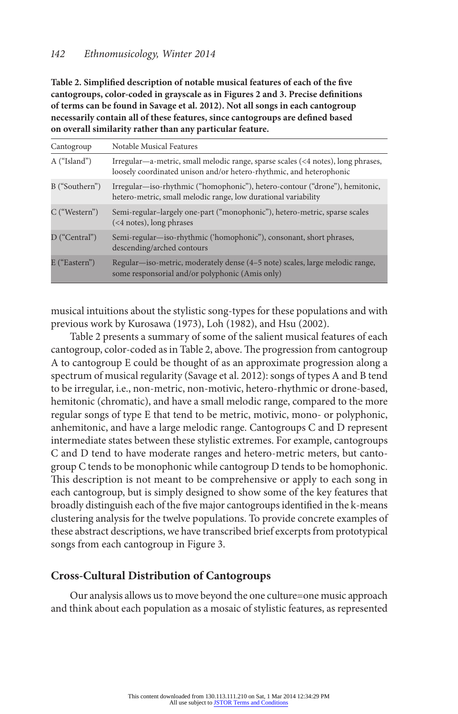# *142 Ethnomusicology, Winter 2014*

**Table 2. Simplified description of notable musical features of each of the five cantogroups, color-coded in grayscale as in Figures 2 and 3. Precise definitions of terms can be found in Savage et al. 2012). Not all songs in each cantogroup necessarily contain all of these features, since cantogroups are defined based on overall similarity rather than any particular feature.**

| Cantogroup     | Notable Musical Features                                                                                                                                |
|----------------|---------------------------------------------------------------------------------------------------------------------------------------------------------|
| A ("Island")   | Irregular—a-metric, small melodic range, sparse scales (<4 notes), long phrases,<br>loosely coordinated unison and/or hetero-rhythmic, and heterophonic |
| B ("Southern") | Irregular—iso-rhythmic ("homophonic"), hetero-contour ("drone"), hemitonic,<br>hetero-metric, small melodic range, low durational variability           |
| C ("Western")  | Semi-regular-largely one-part ("monophonic"), hetero-metric, sparse scales<br>(<4 notes), long phrases                                                  |
| D ("Central")  | Semi-regular—iso-rhythmic ('homophonic''), consonant, short phrases,<br>descending/arched contours                                                      |
| E ("Eastern")  | Regular—iso-metric, moderately dense (4–5 note) scales, large melodic range,<br>some responsorial and/or polyphonic (Amis only)                         |

musical intuitions about the stylistic song-types for these populations and with previous work by Kurosawa (1973), Loh (1982), and Hsu (2002).

Table 2 presents a summary of some of the salient musical features of each cantogroup, color-coded as in Table 2, above. The progression from cantogroup A to cantogroup E could be thought of as an approximate progression along a spectrum of musical regularity (Savage et al. 2012): songs of types A and B tend to be irregular, i.e., non-metric, non-motivic, hetero-rhythmic or drone-based, hemitonic (chromatic), and have a small melodic range, compared to the more regular songs of type E that tend to be metric, motivic, mono- or polyphonic, anhemitonic, and have a large melodic range. Cantogroups C and D represent intermediate states between these stylistic extremes. For example, cantogroups C and D tend to have moderate ranges and hetero-metric meters, but cantogroup C tends to be monophonic while cantogroup D tends to be homophonic. This description is not meant to be comprehensive or apply to each song in each cantogroup, but is simply designed to show some of the key features that broadly distinguish each of the five major cantogroups identified in the k-means clustering analysis for the twelve populations. To provide concrete examples of these abstract descriptions, we have transcribed brief excerpts from prototypical songs from each cantogroup in Figure 3.

# **Cross-Cultural Distribution of Cantogroups**

Our analysis allows us to move beyond the one culture=one music approach and think about each population as a mosaic of stylistic features, as represented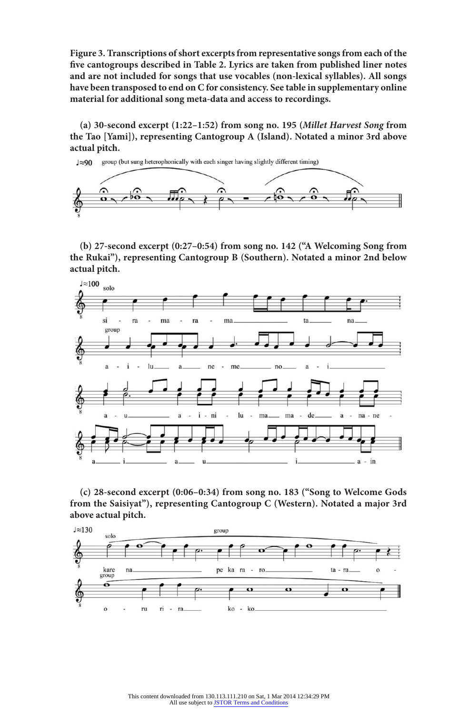**Figure 3. Transcriptions of short excerpts from representative songs from each of the five cantogroups described in Table 2. Lyrics are taken from published liner notes and are not included for songs that use vocables (non-lexical syllables). All songs have been transposed to end on C for consistency. See table in supplementary online material for additional song meta-data and access to recordings.**

**(a) 30-second excerpt (1:22–1:52) from song no. 195 (***Millet Harvest Song* **from the Tao [Yami]), representing Cantogroup A (Island). Notated a minor 3rd above actual pitch.**



**(b) 27-second excerpt (0:27–0:54) from song no. 142 ("A Welcoming Song from the Rukai"), representing Cantogroup B (Southern). Notated a minor 2nd below actual pitch.**



**(c) 28-second excerpt (0:06–0:34) from song no. 183 ("Song to Welcome Gods from the Saisiyat"), representing Cantogroup C (Western). Notated a major 3rd above actual pitch.**

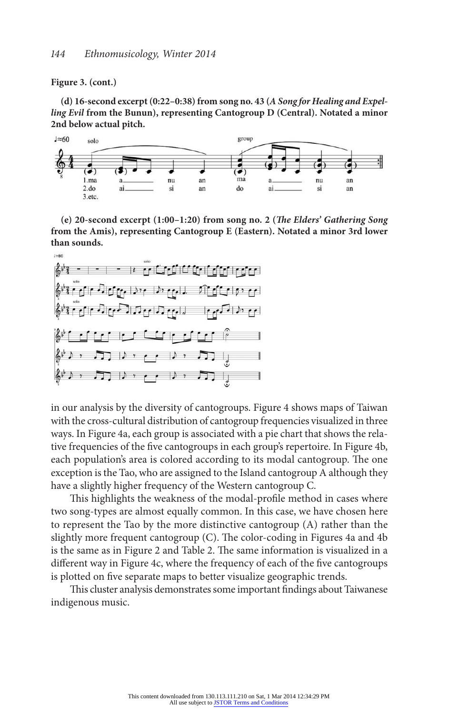#### **Figure 3. (cont.)**

**(d) 16-second excerpt (0:22–0:38) from song no. 43 (***A Song for Healing and Expelling Evil* **from the Bunun), representing Cantogroup D (Central). Notated a minor 2nd below actual pitch.**



**(e) 20-second excerpt (1:00–1:20) from song no. 2 (***The Elders' Gathering Song* **from the Amis), representing Cantogroup E (Eastern). Notated a minor 3rd lower than sounds.**



in our analysis by the diversity of cantogroups. Figure 4 shows maps of Taiwan with the cross-cultural distribution of cantogroup frequencies visualized in three ways. In Figure 4a, each group is associated with a pie chart that shows the relative frequencies of the five cantogroups in each group's repertoire. In Figure 4b, each population's area is colored according to its modal cantogroup. The one exception is the Tao, who are assigned to the Island cantogroup A although they have a slightly higher frequency of the Western cantogroup C.

This highlights the weakness of the modal-profile method in cases where two song-types are almost equally common. In this case, we have chosen here to represent the Tao by the more distinctive cantogroup (A) rather than the slightly more frequent cantogroup (C). The color-coding in Figures 4a and 4b is the same as in Figure 2 and Table 2. The same information is visualized in a different way in Figure 4c, where the frequency of each of the five cantogroups is plotted on five separate maps to better visualize geographic trends.

This cluster analysis demonstrates some important findings about Taiwanese indigenous music.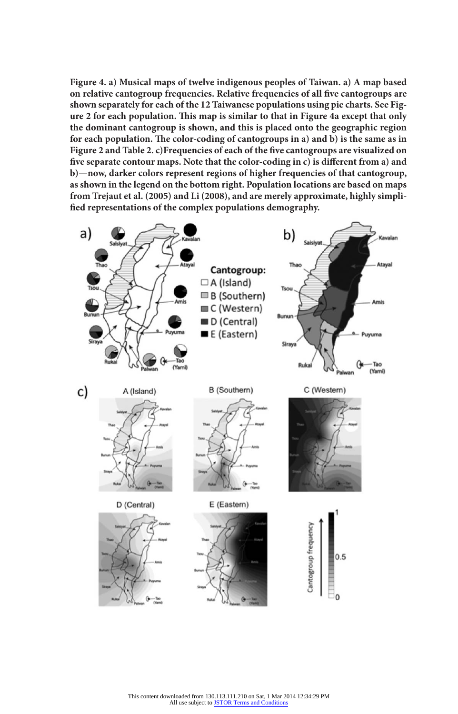**Figure 4. a) Musical maps of twelve indigenous peoples of Taiwan. a) A map based on relative cantogroup frequencies. Relative frequencies of all five cantogroups are shown separately for each of the 12 Taiwanese populations using pie charts. See Figure 2 for each population. This map is similar to that in Figure 4a except that only the dominant cantogroup is shown, and this is placed onto the geographic region for each population. The color-coding of cantogroups in a) and b) is the same as in Figure 2 and Table 2. c)Frequencies of each of the five cantogroups are visualized on five separate contour maps. Note that the color-coding in c) is different from a) and b)—now, darker colors represent regions of higher frequencies of that cantogroup, as shown in the legend on the bottom right. Population locations are based on maps from Trejaut et al. (2005) and Li (2008), and are merely approximate, highly simplified representations of the complex populations demography.**

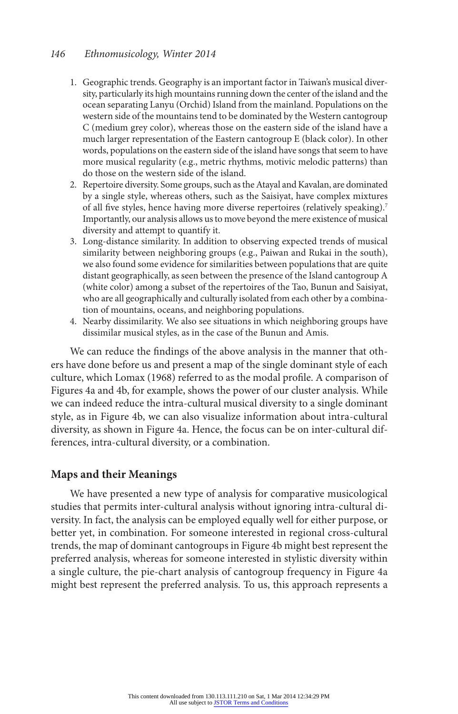#### *146 Ethnomusicology, Winter 2014*

- 1. Geographic trends. Geography is an important factor in Taiwan's musical diversity, particularly its high mountains running down the center of the island and the ocean separating Lanyu (Orchid) Island from the mainland. Populations on the western side of the mountains tend to be dominated by the Western cantogroup C (medium grey color), whereas those on the eastern side of the island have a much larger representation of the Eastern cantogroup E (black color). In other words, populations on the eastern side of the island have songs that seem to have more musical regularity (e.g., metric rhythms, motivic melodic patterns) than do those on the western side of the island.
- 2. Repertoire diversity. Some groups, such as the Atayal and Kavalan, are dominated by a single style, whereas others, such as the Saisiyat, have complex mixtures of all five styles, hence having more diverse repertoires (relatively speaking).7 Importantly, our analysis allows us to move beyond the mere existence of musical diversity and attempt to quantify it.
- 3. Long-distance similarity. In addition to observing expected trends of musical similarity between neighboring groups (e.g., Paiwan and Rukai in the south), we also found some evidence for similarities between populations that are quite distant geographically, as seen between the presence of the Island cantogroup A (white color) among a subset of the repertoires of the Tao, Bunun and Saisiyat, who are all geographically and culturally isolated from each other by a combination of mountains, oceans, and neighboring populations.
- 4. Nearby dissimilarity. We also see situations in which neighboring groups have dissimilar musical styles, as in the case of the Bunun and Amis.

We can reduce the findings of the above analysis in the manner that others have done before us and present a map of the single dominant style of each culture, which Lomax (1968) referred to as the modal profile. A comparison of Figures 4a and 4b, for example, shows the power of our cluster analysis. While we can indeed reduce the intra-cultural musical diversity to a single dominant style, as in Figure 4b, we can also visualize information about intra-cultural diversity, as shown in Figure 4a. Hence, the focus can be on inter-cultural differences, intra-cultural diversity, or a combination.

# **Maps and their Meanings**

We have presented a new type of analysis for comparative musicological studies that permits inter-cultural analysis without ignoring intra-cultural diversity. In fact, the analysis can be employed equally well for either purpose, or better yet, in combination. For someone interested in regional cross-cultural trends, the map of dominant cantogroups in Figure 4b might best represent the preferred analysis, whereas for someone interested in stylistic diversity within a single culture, the pie-chart analysis of cantogroup frequency in Figure 4a might best represent the preferred analysis. To us, this approach represents a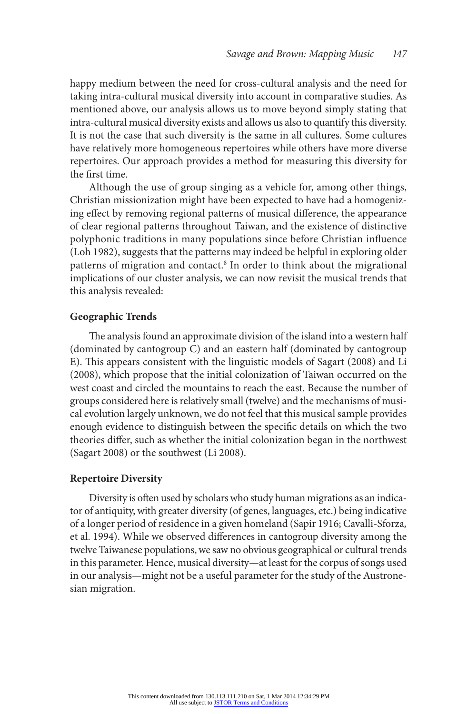happy medium between the need for cross-cultural analysis and the need for taking intra-cultural musical diversity into account in comparative studies. As mentioned above, our analysis allows us to move beyond simply stating that intra-cultural musical diversity exists and allows us also to quantify this diversity. It is not the case that such diversity is the same in all cultures. Some cultures have relatively more homogeneous repertoires while others have more diverse repertoires. Our approach provides a method for measuring this diversity for the first time.

Although the use of group singing as a vehicle for, among other things, Christian missionization might have been expected to have had a homogenizing effect by removing regional patterns of musical difference, the appearance of clear regional patterns throughout Taiwan, and the existence of distinctive polyphonic traditions in many populations since before Christian influence (Loh 1982), suggests that the patterns may indeed be helpful in exploring older patterns of migration and contact.8 In order to think about the migrational implications of our cluster analysis, we can now revisit the musical trends that this analysis revealed:

#### **Geographic Trends**

The analysis found an approximate division of the island into a western half (dominated by cantogroup C) and an eastern half (dominated by cantogroup E). This appears consistent with the linguistic models of Sagart (2008) and Li (2008), which propose that the initial colonization of Taiwan occurred on the west coast and circled the mountains to reach the east. Because the number of groups considered here is relatively small (twelve) and the mechanisms of musical evolution largely unknown, we do not feel that this musical sample provides enough evidence to distinguish between the specific details on which the two theories differ, such as whether the initial colonization began in the northwest (Sagart 2008) or the southwest (Li 2008).

#### **Repertoire Diversity**

Diversity is often used by scholars who study human migrations as an indicator of antiquity, with greater diversity (of genes, languages, etc.) being indicative of a longer period of residence in a given homeland (Sapir 1916; Cavalli-Sforza*,*  et al. 1994). While we observed differences in cantogroup diversity among the twelve Taiwanese populations, we saw no obvious geographical or cultural trends in this parameter. Hence, musical diversity—at least for the corpus of songs used in our analysis—might not be a useful parameter for the study of the Austronesian migration.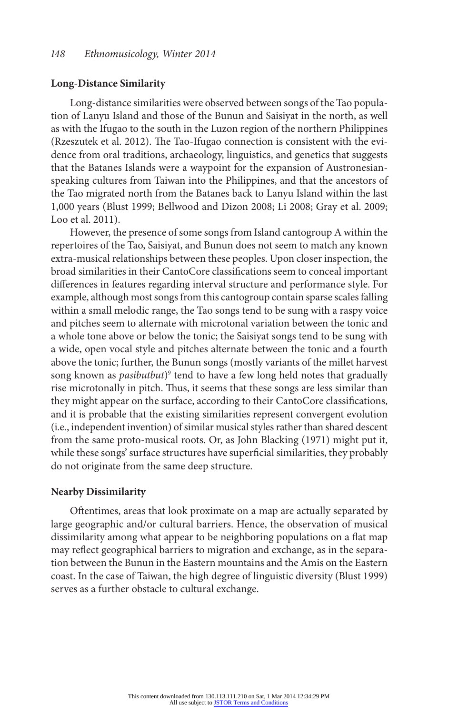#### **Long-Distance Similarity**

Long-distance similarities were observed between songs of the Tao population of Lanyu Island and those of the Bunun and Saisiyat in the north, as well as with the Ifugao to the south in the Luzon region of the northern Philippines (Rzeszutek et al. 2012). The Tao-Ifugao connection is consistent with the evidence from oral traditions, archaeology, linguistics, and genetics that suggests that the Batanes Islands were a waypoint for the expansion of Austronesianspeaking cultures from Taiwan into the Philippines, and that the ancestors of the Tao migrated north from the Batanes back to Lanyu Island within the last 1,000 years (Blust 1999; Bellwood and Dizon 2008; Li 2008; Gray et al. 2009; Loo et al. 2011).

However, the presence of some songs from Island cantogroup A within the repertoires of the Tao, Saisiyat, and Bunun does not seem to match any known extra-musical relationships between these peoples. Upon closer inspection, the broad similarities in their CantoCore classifications seem to conceal important differences in features regarding interval structure and performance style. For example, although most songs from this cantogroup contain sparse scales falling within a small melodic range, the Tao songs tend to be sung with a raspy voice and pitches seem to alternate with microtonal variation between the tonic and a whole tone above or below the tonic; the Saisiyat songs tend to be sung with a wide, open vocal style and pitches alternate between the tonic and a fourth above the tonic; further, the Bunun songs (mostly variants of the millet harvest song known as *pasibutbut*)9 tend to have a few long held notes that gradually rise microtonally in pitch. Thus, it seems that these songs are less similar than they might appear on the surface, according to their CantoCore classifications, and it is probable that the existing similarities represent convergent evolution (i.e., independent invention) of similar musical styles rather than shared descent from the same proto-musical roots. Or, as John Blacking (1971) might put it, while these songs' surface structures have superficial similarities, they probably do not originate from the same deep structure.

#### **Nearby Dissimilarity**

Oftentimes, areas that look proximate on a map are actually separated by large geographic and/or cultural barriers. Hence, the observation of musical dissimilarity among what appear to be neighboring populations on a flat map may reflect geographical barriers to migration and exchange, as in the separation between the Bunun in the Eastern mountains and the Amis on the Eastern coast. In the case of Taiwan, the high degree of linguistic diversity (Blust 1999) serves as a further obstacle to cultural exchange.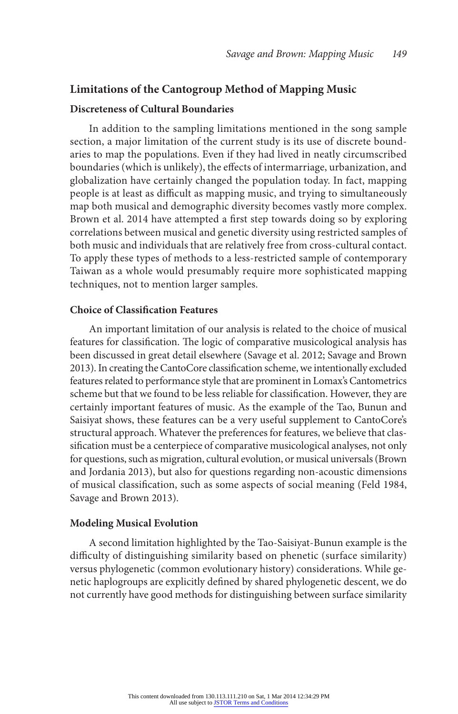# **Limitations of the Cantogroup Method of Mapping Music**

#### **Discreteness of Cultural Boundaries**

In addition to the sampling limitations mentioned in the song sample section, a major limitation of the current study is its use of discrete boundaries to map the populations. Even if they had lived in neatly circumscribed boundaries (which is unlikely), the effects of intermarriage, urbanization, and globalization have certainly changed the population today. In fact, mapping people is at least as difficult as mapping music, and trying to simultaneously map both musical and demographic diversity becomes vastly more complex. Brown et al. 2014 have attempted a first step towards doing so by exploring correlations between musical and genetic diversity using restricted samples of both music and individuals that are relatively free from cross-cultural contact. To apply these types of methods to a less-restricted sample of contemporary Taiwan as a whole would presumably require more sophisticated mapping techniques, not to mention larger samples.

#### **Choice of Classification Features**

An important limitation of our analysis is related to the choice of musical features for classification. The logic of comparative musicological analysis has been discussed in great detail elsewhere (Savage et al. 2012; Savage and Brown 2013). In creating the CantoCore classification scheme, we intentionally excluded features related to performance style that are prominent in Lomax's Cantometrics scheme but that we found to be less reliable for classification. However, they are certainly important features of music. As the example of the Tao, Bunun and Saisiyat shows, these features can be a very useful supplement to CantoCore's structural approach. Whatever the preferences for features, we believe that classification must be a centerpiece of comparative musicological analyses, not only for questions, such as migration, cultural evolution, or musical universals (Brown and Jordania 2013), but also for questions regarding non-acoustic dimensions of musical classification, such as some aspects of social meaning (Feld 1984, Savage and Brown 2013).

#### **Modeling Musical Evolution**

A second limitation highlighted by the Tao-Saisiyat-Bunun example is the difficulty of distinguishing similarity based on phenetic (surface similarity) versus phylogenetic (common evolutionary history) considerations. While genetic haplogroups are explicitly defined by shared phylogenetic descent, we do not currently have good methods for distinguishing between surface similarity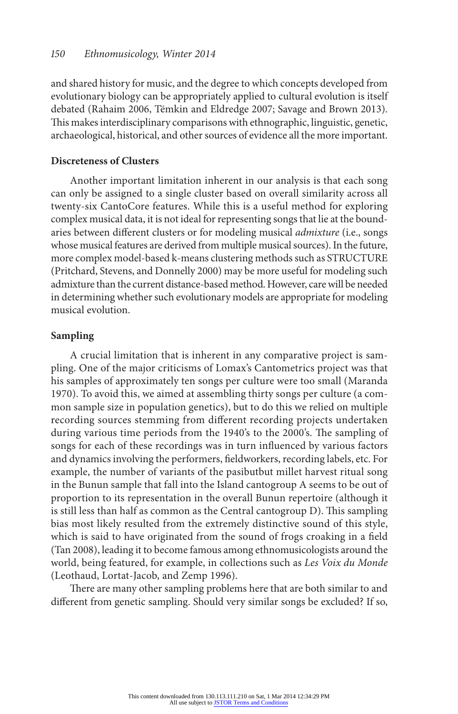and shared history for music, and the degree to which concepts developed from evolutionary biology can be appropriately applied to cultural evolution is itself debated (Rahaim 2006, Tëmkin and Eldredge 2007; Savage and Brown 2013). This makes interdisciplinary comparisons with ethnographic, linguistic, genetic, archaeological, historical, and other sources of evidence all the more important.

# **Discreteness of Clusters**

Another important limitation inherent in our analysis is that each song can only be assigned to a single cluster based on overall similarity across all twenty-six CantoCore features. While this is a useful method for exploring complex musical data, it is not ideal for representing songs that lie at the boundaries between different clusters or for modeling musical *admixture* (i.e., songs whose musical features are derived from multiple musical sources). In the future, more complex model-based k-means clustering methods such as STRUCTURE (Pritchard, Stevens, and Donnelly 2000) may be more useful for modeling such admixture than the current distance-based method. However, care will be needed in determining whether such evolutionary models are appropriate for modeling musical evolution.

#### **Sampling**

A crucial limitation that is inherent in any comparative project is sampling. One of the major criticisms of Lomax's Cantometrics project was that his samples of approximately ten songs per culture were too small (Maranda 1970). To avoid this, we aimed at assembling thirty songs per culture (a common sample size in population genetics), but to do this we relied on multiple recording sources stemming from different recording projects undertaken during various time periods from the 1940's to the 2000's. The sampling of songs for each of these recordings was in turn influenced by various factors and dynamics involving the performers, fieldworkers, recording labels, etc. For example, the number of variants of the pasibutbut millet harvest ritual song in the Bunun sample that fall into the Island cantogroup A seems to be out of proportion to its representation in the overall Bunun repertoire (although it is still less than half as common as the Central cantogroup D). This sampling bias most likely resulted from the extremely distinctive sound of this style, which is said to have originated from the sound of frogs croaking in a field (Tan 2008), leading it to become famous among ethnomusicologists around the world, being featured, for example, in collections such as *Les Voix du Monde* (Leothaud, Lortat-Jacob, and Zemp 1996).

There are many other sampling problems here that are both similar to and different from genetic sampling. Should very similar songs be excluded? If so,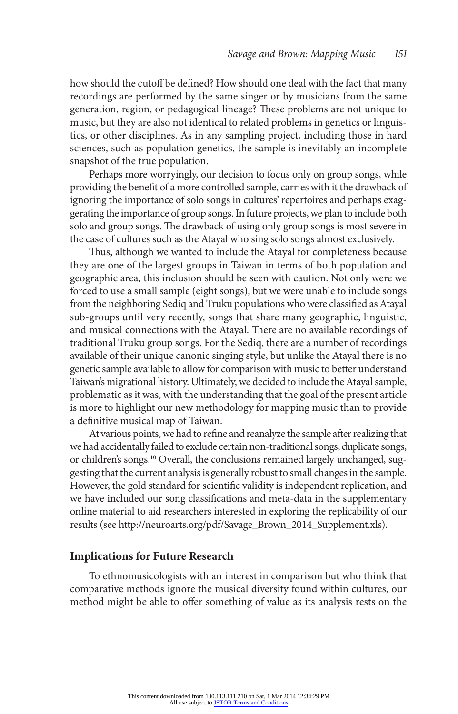how should the cutoff be defined? How should one deal with the fact that many recordings are performed by the same singer or by musicians from the same generation, region, or pedagogical lineage? These problems are not unique to music, but they are also not identical to related problems in genetics or linguistics, or other disciplines. As in any sampling project, including those in hard sciences, such as population genetics, the sample is inevitably an incomplete snapshot of the true population.

Perhaps more worryingly, our decision to focus only on group songs, while providing the benefit of a more controlled sample, carries with it the drawback of ignoring the importance of solo songs in cultures' repertoires and perhaps exaggerating the importance of group songs. In future projects, we plan to include both solo and group songs. The drawback of using only group songs is most severe in the case of cultures such as the Atayal who sing solo songs almost exclusively.

Thus, although we wanted to include the Atayal for completeness because they are one of the largest groups in Taiwan in terms of both population and geographic area, this inclusion should be seen with caution. Not only were we forced to use a small sample (eight songs), but we were unable to include songs from the neighboring Sediq and Truku populations who were classified as Atayal sub-groups until very recently, songs that share many geographic, linguistic, and musical connections with the Atayal. There are no available recordings of traditional Truku group songs. For the Sediq, there are a number of recordings available of their unique canonic singing style, but unlike the Atayal there is no genetic sample available to allow for comparison with music to better understand Taiwan's migrational history. Ultimately, we decided to include the Atayal sample, problematic as it was, with the understanding that the goal of the present article is more to highlight our new methodology for mapping music than to provide a definitive musical map of Taiwan.

At various points, we had to refine and reanalyze the sample after realizing that we had accidentally failed to exclude certain non-traditional songs, duplicate songs, or children's songs.<sup>10</sup> Overall, the conclusions remained largely unchanged, suggesting that the current analysis is generally robust to small changes in the sample. However, the gold standard for scientific validity is independent replication, and we have included our song classifications and meta-data in the supplementary online material to aid researchers interested in exploring the replicability of our results (see http://neuroarts.org/pdf/Savage\_Brown\_2014\_Supplement.xls).

# **Implications for Future Research**

To ethnomusicologists with an interest in comparison but who think that comparative methods ignore the musical diversity found within cultures, our method might be able to offer something of value as its analysis rests on the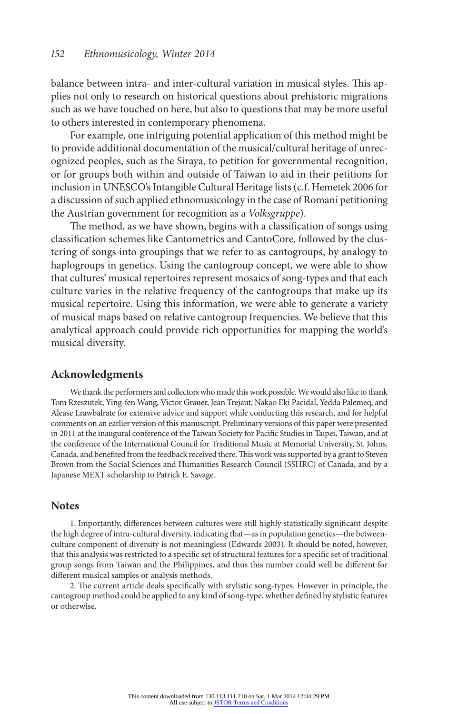balance between intra- and inter-cultural variation in musical styles. This applies not only to research on historical questions about prehistoric migrations such as we have touched on here, but also to questions that may be more useful to others interested in contemporary phenomena.

For example, one intriguing potential application of this method might be to provide additional documentation of the musical/cultural heritage of unrecognized peoples, such as the Siraya, to petition for governmental recognition, or for groups both within and outside of Taiwan to aid in their petitions for inclusion in UNESCO's Intangible Cultural Heritage lists (c.f. Hemetek 2006 for a discussion of such applied ethnomusicology in the case of Romani petitioning the Austrian government for recognition as a *Volksgruppe*).

The method, as we have shown, begins with a classification of songs using classification schemes like Cantometrics and CantoCore, followed by the clustering of songs into groupings that we refer to as cantogroups, by analogy to haplogroups in genetics. Using the cantogroup concept, we were able to show that cultures' musical repertoires represent mosaics of song-types and that each culture varies in the relative frequency of the cantogroups that make up its musical repertoire. Using this information, we were able to generate a variety of musical maps based on relative cantogroup frequencies. We believe that this analytical approach could provide rich opportunities for mapping the world's musical diversity.

# **Acknowledgments**

We thank the performers and collectors who made this work possible. We would also like to thank Tom Rzeszutek, Ying-fen Wang, Victor Grauer, Jean Trejaut, Nakao Eki Pacidal, Yedda Palemeq, and Alease Lrawbalrate for extensive advice and support while conducting this research, and for helpful comments on an earlier version of this manuscript. Preliminary versions of this paper were presented in 2011 at the inaugural conference of the Taiwan Society for Pacific Studies in Taipei, Taiwan, and at the conference of the International Council for Traditional Music at Memorial University, St. Johns, Canada, and benefited from the feedback received there. This work was supported by a grant to Steven Brown from the Social Sciences and Humanities Research Council (SSHRC) of Canada, and by a Japanese MEXT scholarship to Patrick E. Savage.

#### **Notes**

1. Importantly, differences between cultures were still highly statistically significant despite the high degree of intra-cultural diversity, indicating that—as in population genetics—the betweenculture component of diversity is not meaningless (Edwards 2003). It should be noted, however, that this analysis was restricted to a specific set of structural features for a specific set of traditional group songs from Taiwan and the Philippines, and thus this number could well be different for different musical samples or analysis methods.

2. The current article deals specifically with stylistic song-types. However in principle, the cantogroup method could be applied to any kind of song-type, whether defined by stylistic features or otherwise.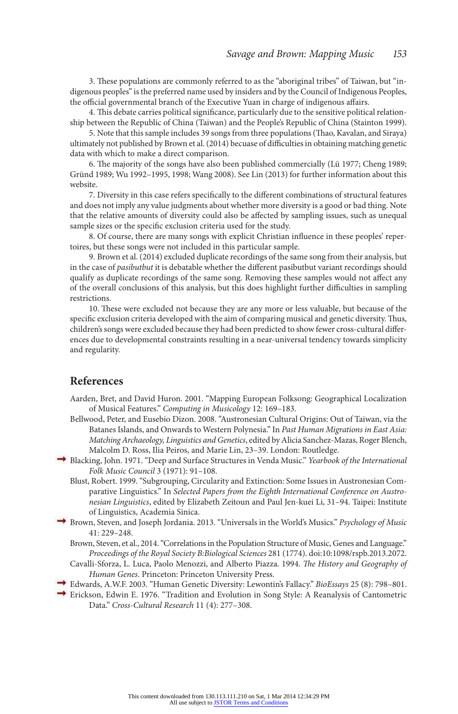3. These populations are commonly referred to as the "aboriginal tribes" of Taiwan, but "indigenous peoples" is the preferred name used by insiders and by the Council of Indigenous Peoples, the official governmental branch of the Executive Yuan in charge of indigenous affairs.

4. This debate carries political significance, particularly due to the sensitive political relationship between the Republic of China (Taiwan) and the People's Republic of China (Stainton 1999).

5. Note that this sample includes 39 songs from three populations (Thao, Kavalan, and Siraya) ultimately not published by Brown et al. (2014) becuase of difficulties in obtaining matching genetic data with which to make a direct comparison.

6. The majority of the songs have also been published commercially (Lü 1977; Cheng 1989; Gründ 1989; Wu 1992–1995, 1998; Wang 2008). See Lin (2013) for further information about this website.

7. Diversity in this case refers specifically to the different combinations of structural features and does not imply any value judgments about whether more diversity is a good or bad thing. Note that the relative amounts of diversity could also be affected by sampling issues, such as unequal sample sizes or the specific exclusion criteria used for the study.

8. Of course, there are many songs with explicit Christian influence in these peoples' repertoires, but these songs were not included in this particular sample.

9. Brown et al. (2014) excluded duplicate recordings of the same song from their analysis, but in the case of *pasibutbut* it is debatable whether the different pasibutbut variant recordings should qualify as duplicate recordings of the same song. Removing these samples would not affect any of the overall conclusions of this analysis, but this does highlight further difficulties in sampling restrictions.

10. These were excluded not because they are any more or less valuable, but because of the specific exclusion criteria developed with the aim of comparing musical and genetic diversity. Thus, children's songs were excluded because they had been predicted to show fewer cross-cultural differences due to developmental constraints resulting in a near-universal tendency towards simplicity and regularity.

#### **References**

- Aarden, Bret, and David Huron. 2001. "Mapping European Folksong: Geographical Localization of Musical Features." *Computing in Musicology* 12: 169–183.
- Bellwood, Peter, and Eusebio Dizon. 2008. "Austronesian Cultural Origins: Out of Taiwan, via the Batanes Islands, and Onwards to Western Polynesia." In *Past Human Migrations in East Asia: Matching Archaeology, Linguistics and Genetics*, edited by Alicia Sanchez-Mazas, Roger Blench, Malcolm D. Ross, Ilia Peiros, and Marie Lin, 23–39. London: Routledge.
- Blacking, John. 1971. "Deep and Surface Structures in Venda Music." *Yearbook of the International Folk Music Council* 3 (1971): 91–108.
	- Blust, Robert. 1999. "Subgrouping, Circularity and Extinction: Some Issues in Austronesian Comparative Linguistics." In *Selected Papers from the Eighth International Conference on Austronesian Linguistics*, edited by Elizabeth Zeitoun and Paul Jen-kuei Li, 31–94. Taipei: Institute of Linguistics, Academia Sinica.
- Brown, Steven, and Joseph Jordania. 2013. "Universals in the World's Musics." *Psychology of Music*  $41.229 - 248$ 
	- Brown, Steven, et al., 2014. "Correlations in the Population Structure of Music, Genes and Language." *Proceedings of the Royal Society B:Biological Sciences* 281 (1774). doi:10:1098/rspb.2013.2072.
	- Cavalli-Sforza, L. Luca, Paolo Menozzi, and Alberto Piazza. 1994. *The History and Geography of Human Genes*. Princeton: Princeton University Press.
- Edwards, A.W.F. 2003. "Human Genetic Diversity: Lewontin's Fallacy." *BioEssays* 25 (8): 798–801.
- Erickson, Edwin E. 1976. "Tradition and Evolution in Song Style: A Reanalysis of Cantometric Data." *Cross-Cultural Research* 11 (4): 277–308.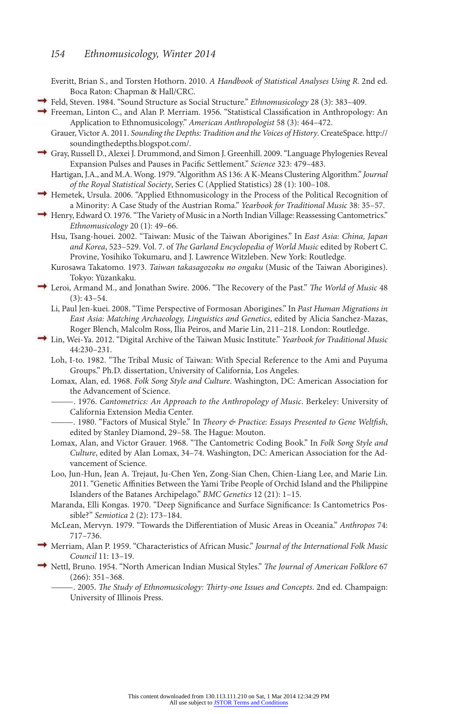#### *154 Ethnomusicology, Winter 2014*

Everitt, Brian S., and Torsten Hothorn. 2010. *A Handbook of Statistical Analyses Using R*. 2nd ed. Boca Raton: Chapman & Hall/CRC.

Feld, Steven. 1984. "Sound Structure as Social Structure." *Ethnomusicology* 28 (3): 383–409.

Freeman, Linton C., and Alan P. Merriam. 1956. "Statistical Classification in Anthropology: An Application to Ethnomusicology." *American Anthropologist* 58 (3): 464–472.

Grauer, Victor A. 2011. *Sounding the Depths: Tradition and the Voices of History*. CreateSpace. http:// soundingthedepths.blogspot.com/.

Gray, Russell D., Alexei J. Drummond, and Simon J. Greenhill. 2009. "Language Phylogenies Reveal Expansion Pulses and Pauses in Pacific Settlement." *Science* 323: 479–483.

Hartigan, J.A., and M.A. Wong. 1979. "Algorithm AS 136: A K-Means Clustering Algorithm." *Journal of the Royal Statistical Society*, Series C (Applied Statistics) 28 (1): 100–108.

- $\rightarrow$  Hemetek, Ursula. 2006. "Applied Ethnomusicology in the Process of the Political Recognition of a Minority: A Case Study of the Austrian Roma." *Yearbook for Traditional Music* 38: 35–57.
- → Henry, Edward O. 1976. "The Variety of Music in a North Indian Village: Reassessing Cantometrics." *Ethnomusicology* 20 (1): 49–66.
	- Hsu, Tsang-houei. 2002. "Taiwan: Music of the Taiwan Aborigines." In *East Asia: China, Japan and Korea*, 523–529. Vol. 7. of *The Garland Encyclopedia of World Music* edited by Robert C. Provine, Yosihiko Tokumaru, and J. Lawrence Witzleben. New York: Routledge.

Kurosawa Takatomo. 1973. *Taiwan takasagozoku no ongaku* (Music of the Taiwan Aborigines). Tokyo: Yūzankaku.

- Leroi, Armand M., and Jonathan Swire. 2006. "The Recovery of the Past." *The World of Music* 48 (3): 43–54.
	- Li, Paul Jen-kuei. 2008. "Time Perspective of Formosan Aborigines." In *Past Human Migrations in East Asia: Matching Archaeology, Linguistics and Genetics*, edited by Alicia Sanchez-Mazas, Roger Blench, Malcolm Ross, Ilia Peiros, and Marie Lin, 211–218. London: Routledge.
- Lin, Wei-Ya. 2012. "Digital Archive of the Taiwan Music Institute." *Yearbook for Traditional Music*  44:230–231.

Loh, I-to. 1982. "The Tribal Music of Taiwan: With Special Reference to the Ami and Puyuma Groups." Ph.D. dissertation, University of California, Los Angeles.

- Lomax, Alan, ed. 1968. *Folk Song Style and Culture*. Washington, DC: American Association for the Advancement of Science.
	- ———. 1976. *Cantometrics: An Approach to the Anthropology of Music*. Berkeley: University of California Extension Media Center.
- ———. 1980. "Factors of Musical Style." In *Theory & Practice: Essays Presented to Gene Weltfish*, edited by Stanley Diamond, 29–58. The Hague: Mouton.
- Lomax, Alan, and Victor Grauer. 1968. "The Cantometric Coding Book." In *Folk Song Style and Culture*, edited by Alan Lomax, 34–74. Washington, DC: American Association for the Advancement of Science.
- Loo, Jun-Hun, Jean A. Trejaut, Ju-Chen Yen, Zong-Sian Chen, Chien-Liang Lee, and Marie Lin. 2011. "Genetic Affinities Between the Yami Tribe People of Orchid Island and the Philippine Islanders of the Batanes Archipelago." *BMC Genetics* 12 (21): 1–15.
- Maranda, Elli Kongas. 1970. "Deep Significance and Surface Significance: Is Cantometrics Possible?" *Semiotica* 2 (2): 173–184.
- McLean, Mervyn. 1979. "Towards the Differentiation of Music Areas in Oceania." *Anthropos* 74: 717–736.
- Merriam, Alan P. 1959. "Characteristics of African Music." *Journal of the International Folk Music Council* 11: 13–19.
- Nettl, Bruno. 1954. "North American Indian Musical Styles." *The Journal of American Folklore* 67 (266): 351–368.

———. 2005. *The Study of Ethnomusicology: Thirty-one Issues and Concepts*. 2nd ed. Champaign: University of Illinois Press.